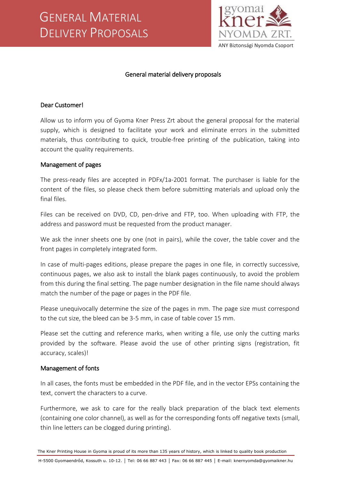# GENERAL MATERIAL DELIVERY PROPOSALS



## General material delivery proposals

### Dear Customer!

J

Allow us to inform you of Gyoma Kner Press Zrt about the general proposal for the material supply, which is designed to facilitate your work and eliminate errors in the submitted materials, thus contributing to quick, trouble-free printing of the publication, taking into account the quality requirements.

### Management of pages

The press-ready files are accepted in PDFx/1a-2001 format. The purchaser is liable for the content of the files, so please check them before submitting materials and upload only the final files.

Files can be received on DVD, CD, pen-drive and FTP, too. When uploading with FTP, the address and password must be requested from the product manager.

We ask the inner sheets one by one (not in pairs), while the cover, the table cover and the front pages in completely integrated form.

In case of multi-pages editions, please prepare the pages in one file, in correctly successive, continuous pages, we also ask to install the blank pages continuously, to avoid the problem from this during the final setting. The page number designation in the file name should always match the number of the page or pages in the PDF file.

Please unequivocally determine the size of the pages in mm. The page size must correspond to the cut size, the bleed can be 3-5 mm, in case of table cover 15 mm.

Please set the cutting and reference marks, when writing a file, use only the cutting marks provided by the software. Please avoid the use of other printing signs (registration, fit accuracy, scales)!

#### Management of fonts

In all cases, the fonts must be embedded in the PDF file, and in the vector EPSs containing the text, convert the characters to a curve.

Furthermore, we ask to care for the really black preparation of the black text elements (containing one color channel), as well as for the corresponding fonts off negative texts (small, thin line letters can be clogged during printing).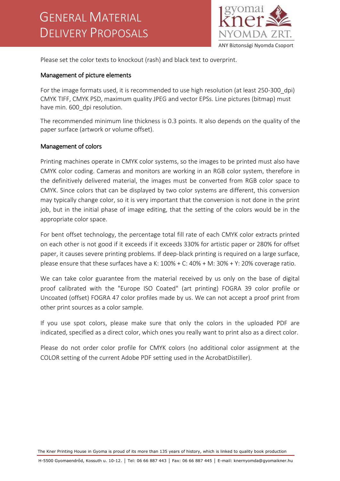# GENERAL MATERIAL DELIVERY PROPOSALS



 $\overline{\phantom{a}}$ Please set the color texts to knockout (rash) and black text to overprint.

### Management of picture elements

For the image formats used, it is recommended to use high resolution (at least 250-300 dpi) CMYK TIFF, CMYK PSD, maximum quality JPEG and vector EPSs. Line pictures (bitmap) must have min. 600 dpi resolution.

The recommended minimum line thickness is 0.3 points. It also depends on the quality of the paper surface (artwork or volume offset).

### Management of colors

Printing machines operate in CMYK color systems, so the images to be printed must also have CMYK color coding. Cameras and monitors are working in an RGB color system, therefore in the definitively delivered material, the images must be converted from RGB color space to CMYK. Since colors that can be displayed by two color systems are different, this conversion may typically change color, so it is very important that the conversion is not done in the print job, but in the initial phase of image editing, that the setting of the colors would be in the appropriate color space.

For bent offset technology, the percentage total fill rate of each CMYK color extracts printed on each other is not good if it exceeds if it exceeds 330% for artistic paper or 280% for offset paper, it causes severe printing problems. If deep-black printing is required on a large surface, please ensure that these surfaces have a K: 100% + C: 40% + M: 30% + Y: 20% coverage ratio.

We can take color guarantee from the material received by us only on the base of digital proof calibrated with the "Europe ISO Coated" (art printing) FOGRA 39 color profile or Uncoated (offset) FOGRA 47 color profiles made by us. We can not accept a proof print from other print sources as a color sample.

If you use spot colors, please make sure that only the colors in the uploaded PDF are indicated, specified as a direct color, which ones you really want to print also as a direct color.

Please do not order color profile for CMYK colors (no additional color assignment at the COLOR setting of the current Adobe PDF setting used in the AcrobatDistiller).